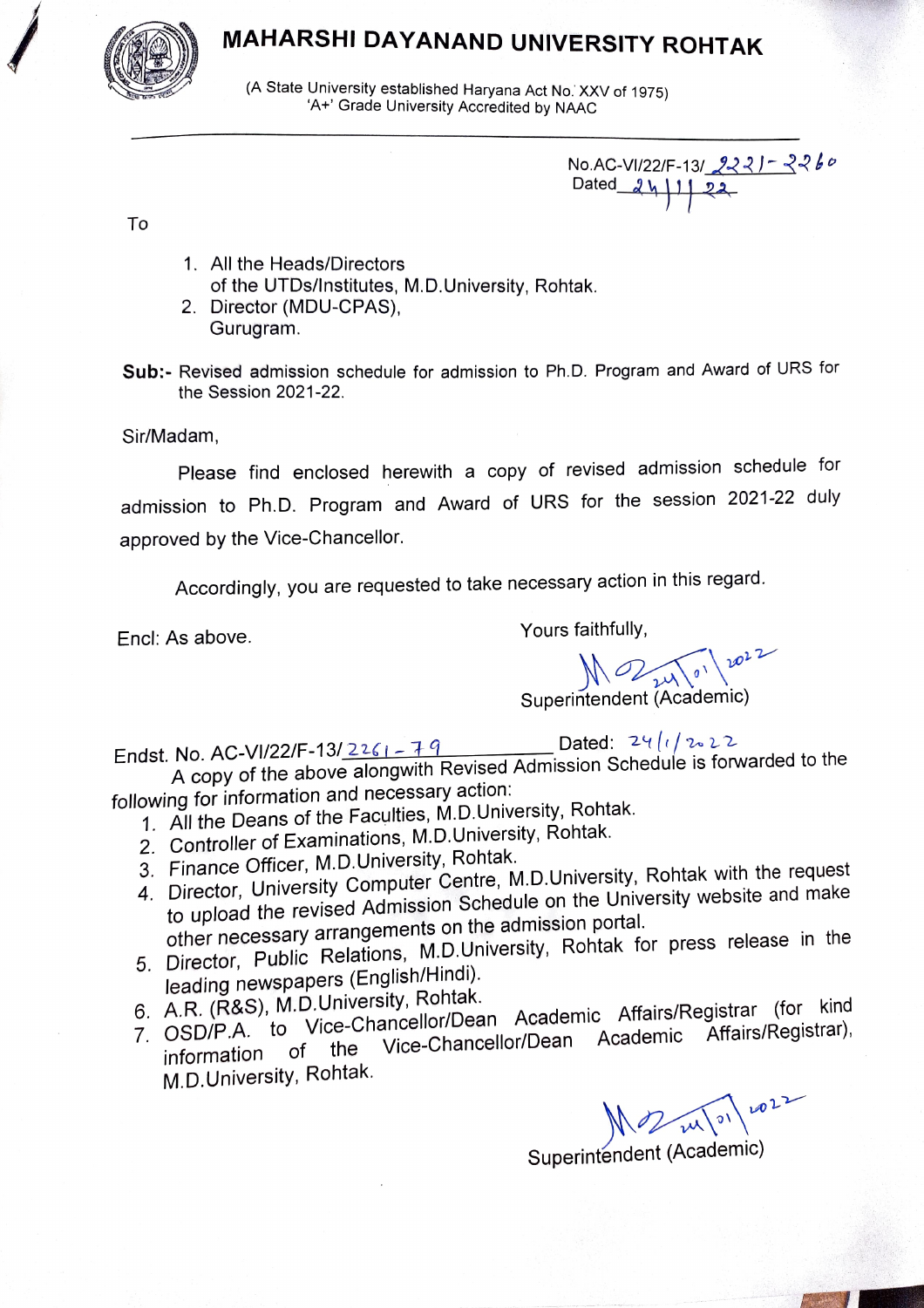# MAHARSHI DAYANAND UNIVERSITY ROHTAK



(A State University established Haryana Act No. XXV of 1975)<br>'A+' Grade University Accredited by NAAC

No.AC-VI/22/F-13/2221-2260 Dated  $2$ 

To

- 1. All the Heads/Directors of the UTDs/Institutes, M.D.University, Rohtak.
- 2. Director (MDU-CPAS), Gurugram.

Sub:- Revised admission schedule for admission to Ph.D. Program and Award of URS for the Session 2021-22.

Sir/Madam,

Please find enclosed herewith a copy of revised admission schedule for admission to Ph.D. Program and Award of URS for the session 2021-22 duly approved by the Vice-Chancellor.

Accordingly, you are requested to take necessary action in this regard.

Encl: As above. The same of the Sours faithfully,

 $\bigwedge_{\substack{\lambda \downarrow \\ \lambda \downarrow \\ \lambda \downarrow}} \bigwedge_{\substack{\emptyset \\ \lambda \downarrow \\ \lambda \downarrow}} \bigwedge_{\substack{\lambda \downarrow \\ \emptyset \downarrow \\ \lambda \downarrow}} \bigwedge_{\substack{\lambda \downarrow \\ \lambda \downarrow \\ \lambda \downarrow}} \bigwedge_{\substack{\lambda \downarrow \\ \lambda \downarrow \\ \lambda \downarrow \\ \lambda \downarrow}} \bigwedge_{\substack{\lambda \downarrow \\ \lambda \downarrow \\ \lambda \downarrow \\ \lambda \downarrow}} \bigwedge_{\substack{\lambda \downarrow \\ \lambda \downarrow \\ \lambda \downarrow \\ \lambda \downarrow \\ \lambda \downarrow \\ \lambda \downarrow \\ \lambda \downarrow \\ \lambda \$ 

Endst. No. AC-VI/22/F-13/2261-79 Dated:  $24/1/22$ A copy of the above alongwith Revised Admission Schedule is forwarded to the following for information and necessary action:

- 1. All the Deans of the Faculties, M.D.University, Rohtak.
- 2. Controller of Examinations, M.D.University, Rohtak.
- 3. Finance Officer, M.D.University, Rohtak.
- 3. Finance Officer, M.D.Officency, Form<br>4. Director, University Computer Centre, M.D.University, Rohtak with the request
- to upload the revised Admission Schedule on the University website and make other necessary arrangements on the admission portal. 5. Director, Public Relations, M.D.University, Rohtak for press release in the
- leading newspapers (English/Hindi).<br>6. A.R. (R&S), M.D.University, Rohtak.
- 6. A.R. (R&S), M.D.University, Rohtak. 7. OSD/P.A. to Vice-Chancellor/Dean Academic Affairs/Registrar (for kind Affairs/Registrar),
- information of the Vice-Chancellor/Dean Academic Affairs/Registrar), M.D.University, Rohtak.

 $2022$ 

Superintendent (Academic)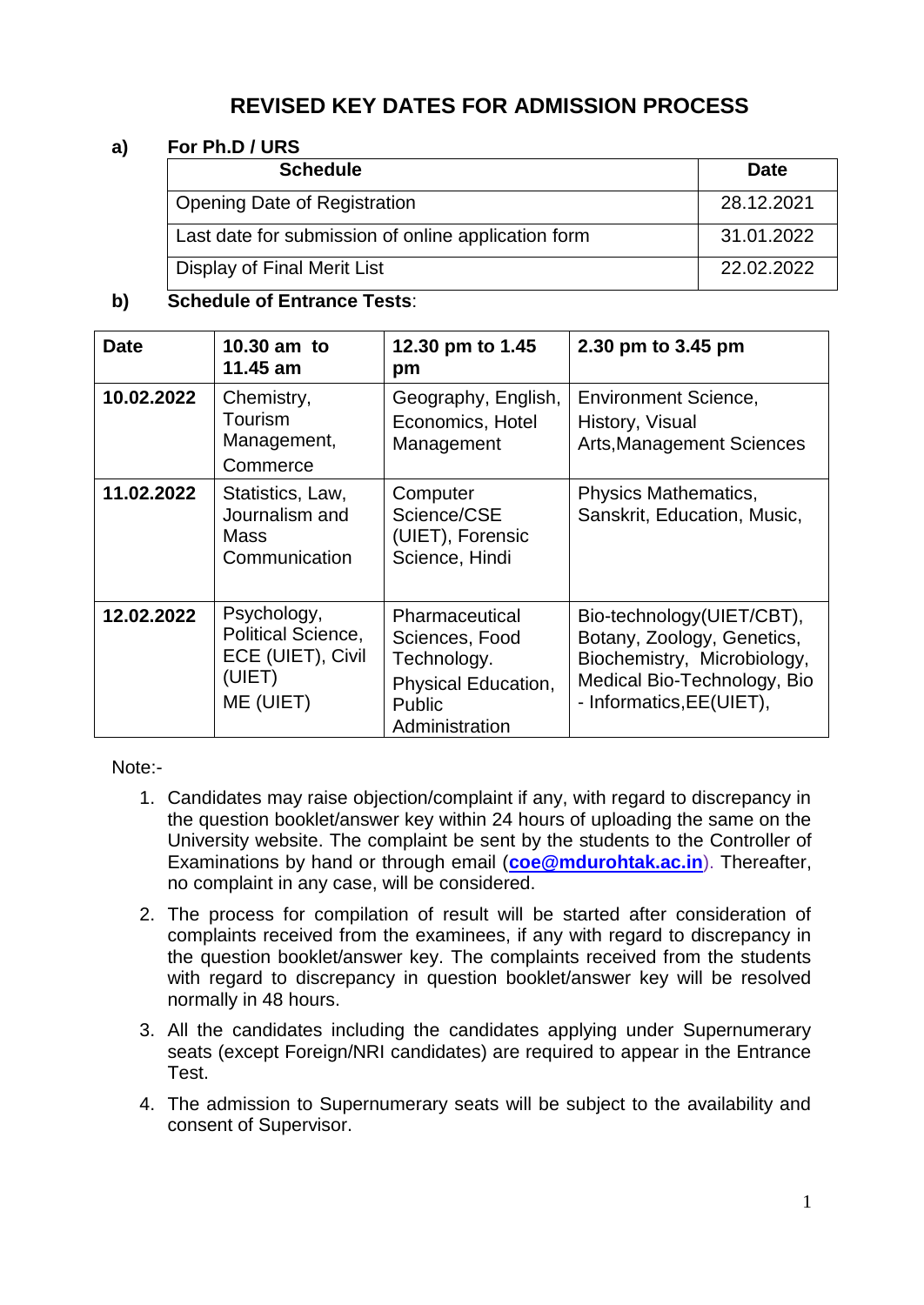# **REVISED KEY DATES FOR ADMISSION PROCESS**

## **a) For Ph.D / URS**

| <b>Schedule</b>                                     | <b>Date</b> |
|-----------------------------------------------------|-------------|
| <b>Opening Date of Registration</b>                 | 28.12.2021  |
| Last date for submission of online application form | 31.01.2022  |
| Display of Final Merit List                         | 22.02.2022  |

## **b) Schedule of Entrance Tests**:

| <b>Date</b> | 10.30 am to<br>11.45 am                                                       | 12.30 pm to 1.45<br>pm                                                                                    | 2.30 pm to 3.45 pm                                                                                                                                |
|-------------|-------------------------------------------------------------------------------|-----------------------------------------------------------------------------------------------------------|---------------------------------------------------------------------------------------------------------------------------------------------------|
| 10.02.2022  | Chemistry,<br>Tourism<br>Management,<br>Commerce                              | Geography, English,<br>Economics, Hotel<br>Management                                                     | <b>Environment Science,</b><br>History, Visual<br><b>Arts, Management Sciences</b>                                                                |
| 11.02.2022  | Statistics, Law,<br>Journalism and<br><b>Mass</b><br>Communication            | Computer<br>Science/CSE<br>(UIET), Forensic<br>Science, Hindi                                             | Physics Mathematics,<br>Sanskrit, Education, Music,                                                                                               |
| 12.02.2022  | Psychology,<br>Political Science,<br>ECE (UIET), Civil<br>(UIET)<br>ME (UIET) | Pharmaceutical<br>Sciences, Food<br>Technology.<br>Physical Education,<br><b>Public</b><br>Administration | Bio-technology(UIET/CBT),<br>Botany, Zoology, Genetics,<br>Biochemistry, Microbiology,<br>Medical Bio-Technology, Bio<br>- Informatics, EE(UIET), |

Note:-

- 1. Candidates may raise objection/complaint if any, with regard to discrepancy in the question booklet/answer key within 24 hours of uploading the same on the University website. The complaint be sent by the students to the Controller of Examinations by hand or through email (**[coe@mdurohtak.ac.in](mailto:coe@mdurohtak.ac.in)**). Thereafter, no complaint in any case, will be considered.
- 2. The process for compilation of result will be started after consideration of complaints received from the examinees, if any with regard to discrepancy in the question booklet/answer key. The complaints received from the students with regard to discrepancy in question booklet/answer key will be resolved normally in 48 hours.
- 3. All the candidates including the candidates applying under Supernumerary seats (except Foreign/NRI candidates) are required to appear in the Entrance Test.
- 4. The admission to Supernumerary seats will be subject to the availability and consent of Supervisor.